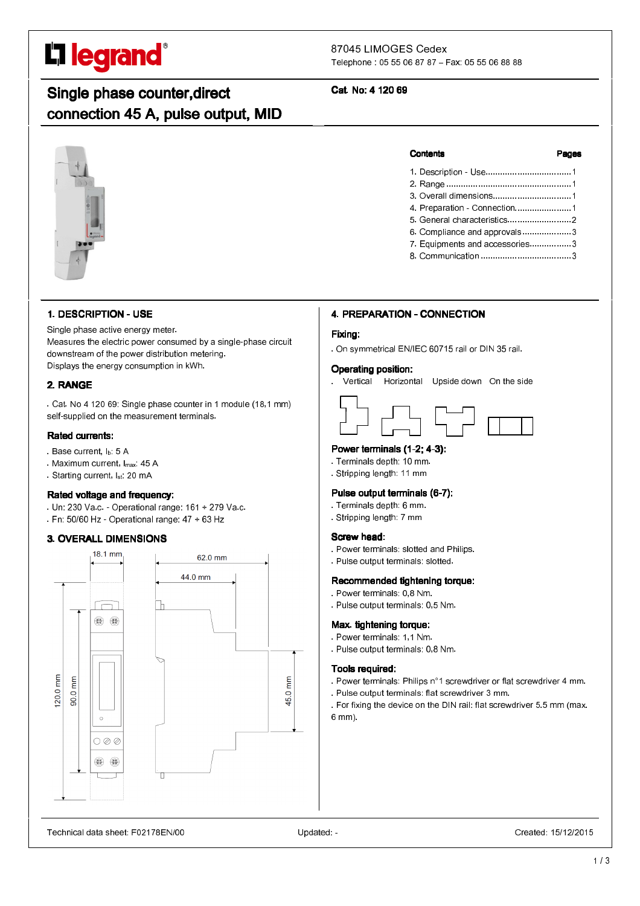# L'I legrand<sup>®</sup>

٦

# 87045 LIMOGES Cedex

Telephone : 05 55 06 87 87 – Fax: 05 55 06 88 88

# Single phase counter,direct connection 45 A, pulse output, MID

# Cat. No: 4 120 69

#### **Contents**

| 4. Preparation - Connection1   |  |
|--------------------------------|--|
|                                |  |
| 6. Compliance and approvals3   |  |
| 7. Equipments and accessories3 |  |

8. Communication ..................................... 3

# 1. DESCRIPTION - USE

Single phase active energy meter. Measures the electric power consumed by a single-phase circuit downstream of the power distribution metering. Displays the energy consumption in kWh.

# 2. RANGE

. Cat. No 4 120 69: Single phase counter in 1 module (18,1 mm) self-supplied on the measurement terminals.

# Rated currents: Rated currents:

- Base current, I<sub>b:</sub> 5 A
- . Maximum current, Imax: 45 A
- . Starting current, Ist: 20 mA

# Rated voltage and frequency:

- . Un: 230 Va.c. Operational range: 161 ÷ 279 Va.c.
- . Fn: 50/60 Hz Operational range: 47 ÷ 63 Hz

# 3. OVERALL DIMENSIONS



# 4. PREPARATION - CONNECTION

# Fixing:

. On symmetrical EN/IEC 60715 rail or DIN 35 rail.

# Operating position:

. Vertical Horizontal Upside down On the side

# Power terminals  $(1-2; 4-3)$ :

- . Terminals depth: 10 mm.
- . Stripping length: 11 mm

# Pulse output terminals (6-7):

- . Terminals depth: 6 mm.
- . Stripping length: 7 mm

# Screw head:

- . Power terminals: slotted and Philips.
- . Pulse output terminals: slotted.

# Recommended tightening torque:

- . Power terminals: 0,8 Nm.
- . Pulse output terminals: 0,5 Nm.

# Max. tightening torque:

- . Power terminals: 1,1 Nm.
- . Pulse output terminals: 0,8 Nm.

# Tools required:

- . Power terminals: Philips n°1 screwdriver or flat screwdriver 4 mm.
- . Pulse output terminals: flat screwdriver 3 mm.
- . For fixing the device on the DIN rail: flat screwdriver 5.5 mm (max. 6 mm).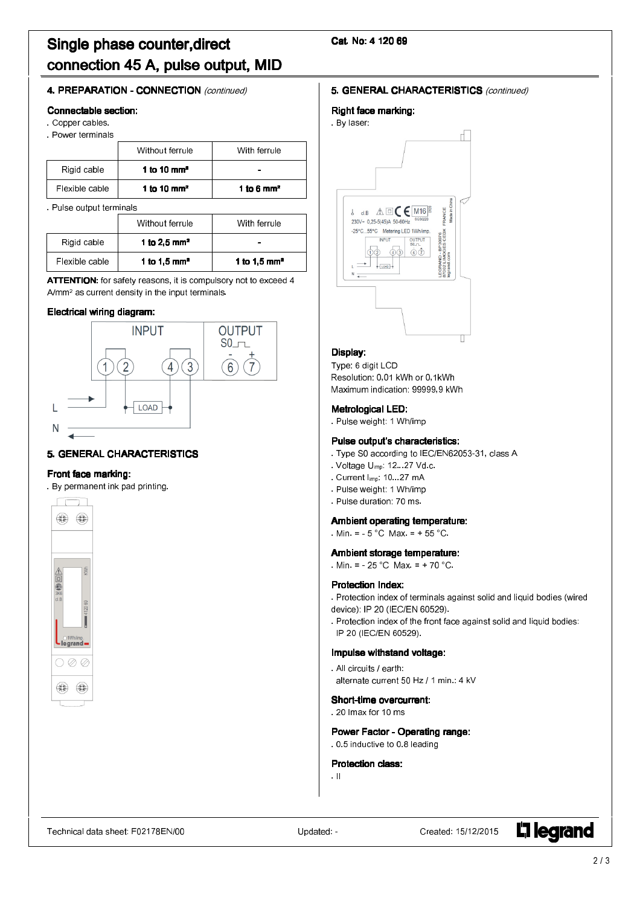# Single phase counter,direct connection 45 A, pulse output, MID

# Cat. No: 4 120 69

# 4. PREPARATION - CONNECTION (continued)

#### Connectable section:

. Copper cables.

. Power terminals

|                | Without ferrule         | With ferrule |
|----------------|-------------------------|--------------|
| Rigid cable    | 1 to 10 mm <sup>2</sup> |              |
| Flexible cable | 1 to 10 mm <sup>2</sup> | 1 to 6 $mm2$ |

. Pulse output terminals

|                | Without ferrule          | With ferrule             |
|----------------|--------------------------|--------------------------|
| Rigid cable    | 1 to 2,5 $mm2$           |                          |
| Flexible cable | 1 to 1,5 mm <sup>2</sup> | 1 to 1.5 mm <sup>2</sup> |

ATTENTION: for safety reasons, it is compulsory not to exceed 4 A/mm2 as current density in the input terminals.

# Electrical wiring diagram:



# **5. GENERAL CHARACTERISTICS**

#### Front face marking: Front face marking:

. By permanent ink pad printing.



# **5. GENERAL CHARACTERISTICS (continued)**

#### Right face marking:



# Display:

Type: 6 digit LCD Resolution: 0,01 kWh or 0,1kWh Maximum indication: 99999,9 kWh

# Metrological LED:

. Pulse weight: 1 Wh/imp

# Pulse output's characteristics:

- . Type S0 according to IEC/EN62053-31, class A
- . Voltage U<sub>imp</sub>: 12...27 Vd.c.
- . Current Iimp: 10...27 mA
- . Pulse weight: 1 Wh/imp
- . Pulse duration: 70 ms.

# Ambient operating temperature:

. Min. =  $-5$  °C Max. =  $+55$  °C.

#### Ambient storage temperature:

. Min. =  $-25\degree$ C Max. =  $+70\degree$ C.

# Protection Index:

. Protection index of terminals against solid and liquid bodies (wired device): IP 20 (IEC/EN 60529).

. Protection index of the front face against solid and liquid bodies: IP 20 (IEC/EN 60529).

# Impulse withstand voltage:

. All circuits / earth: alternate current 50 Hz / 1 min.: 4 kV

# Short-time overcurrent:

. 20 Imax for 10 ms

#### Power Factor - Operating range: . 0.5 inductive to 0.8 leading

Protection class:

. II